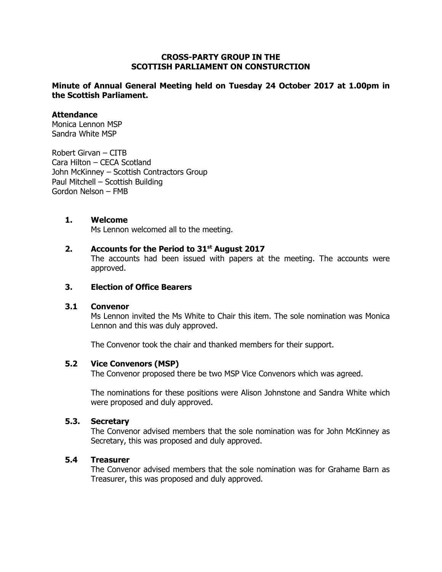## **CROSS-PARTY GROUP IN THE SCOTTISH PARLIAMENT ON CONSTURCTION**

# **Minute of Annual General Meeting held on Tuesday 24 October 2017 at 1.00pm in the Scottish Parliament.**

## **Attendance**

Monica Lennon MSP Sandra White MSP

Robert Girvan – CITB Cara Hilton – CECA Scotland John McKinney – Scottish Contractors Group Paul Mitchell – Scottish Building Gordon Nelson – FMB

# **1. Welcome**

Ms Lennon welcomed all to the meeting.

# **2. Accounts for the Period to 31st August 2017**

The accounts had been issued with papers at the meeting. The accounts were approved.

## **3. Election of Office Bearers**

#### **3.1 Convenor**

Ms Lennon invited the Ms White to Chair this item. The sole nomination was Monica Lennon and this was duly approved.

The Convenor took the chair and thanked members for their support.

# **5.2 Vice Convenors (MSP)**

The Convenor proposed there be two MSP Vice Convenors which was agreed.

The nominations for these positions were Alison Johnstone and Sandra White which were proposed and duly approved.

#### **5.3. Secretary**

The Convenor advised members that the sole nomination was for John McKinney as Secretary, this was proposed and duly approved.

# **5.4 Treasurer**

The Convenor advised members that the sole nomination was for Grahame Barn as Treasurer, this was proposed and duly approved.